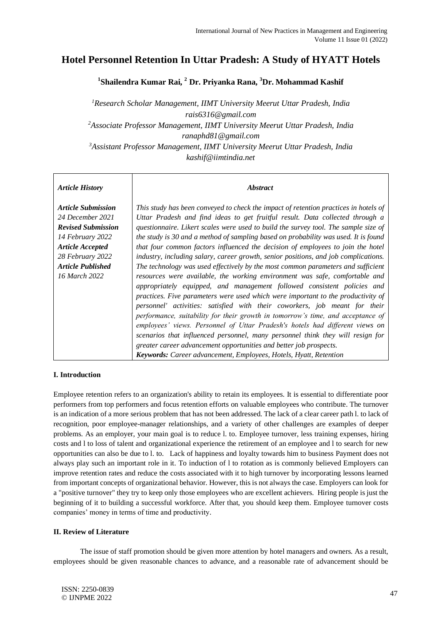# **Hotel Personnel Retention In Uttar Pradesh: A Study of HYATT Hotels**

**1 Shailendra Kumar Rai, <sup>2</sup> Dr. Priyanka Rana, <sup>3</sup>Dr. Mohammad Kashif**

*<sup>1</sup>Research Scholar Management, IIMT University Meerut Uttar Pradesh, India rais6316@gmail.com <sup>2</sup>Associate Professor Management, IIMT University Meerut Uttar Pradesh, India ranaphd81@gmail.com <sup>3</sup>Assistant Professor Management, IIMT University Meerut Uttar Pradesh, India kashif@iimtindia.net*

## *Article History*

## *Abstract*

*Article Submission 24 December 2021 Revised Submission 14 February 2022 Article Accepted 28 February 2022 Article Published 16 March 2022*

*This study has been conveyed to check the impact of retention practices in hotels of Uttar Pradesh and find ideas to get fruitful result. Data collected through a questionnaire. Likert scales were used to build the survey tool. The sample size of the study is 30 and a method of sampling based on probability was used. It is found that four common factors influenced the decision of employees to join the hotel industry, including salary, career growth, senior positions, and job complications. The technology was used effectively by the most common parameters and sufficient resources were available, the working environment was safe, comfortable and appropriately equipped, and management followed consistent policies and practices. Five parameters were used which were important to the productivity of personnel' activities: satisfied with their coworkers, job meant for their performance, suitability for their growth in tomorrow's time, and acceptance of employees' views. Personnel of Uttar Pradesh's hotels had different views on scenarios that influenced personnel, many personnel think they will resign for greater career advancement opportunities and better job prospects. Keywords: Career advancement, Employees, Hotels, Hyatt, Retention*

# **I. Introduction**

Employee retention refers to an organization's ability to retain its employees. It is essential to differentiate poor performers from top performers and focus retention efforts on valuable employees who contribute. The turnover is an indication of a more serious problem that has not been addressed. The lack of a clear career path l. to lack of recognition, poor employee-manager relationships, and a variety of other challenges are examples of deeper problems. As an employer, your main goal is to reduce l. to. Employee turnover, less training expenses, hiring costs and l to loss of talent and organizational experience the retirement of an employee and l to search for new opportunities can also be due to l. to. Lack of happiness and loyalty towards him to business Payment does not always play such an important role in it. To induction of l to rotation as is commonly believed Employers can improve retention rates and reduce the costs associated with it to high turnover by incorporating lessons learned from important concepts of organizational behavior. However, this is not always the case. Employers can look for a "positive turnover" they try to keep only those employees who are excellent achievers. Hiring people is just the beginning of it to building a successful workforce. After that, you should keep them. Employee turnover costs companies' money in terms of time and productivity.

# **II. Review of Literature**

The issue of staff promotion should be given more attention by hotel managers and owners. As a result, employees should be given reasonable chances to advance, and a reasonable rate of advancement should be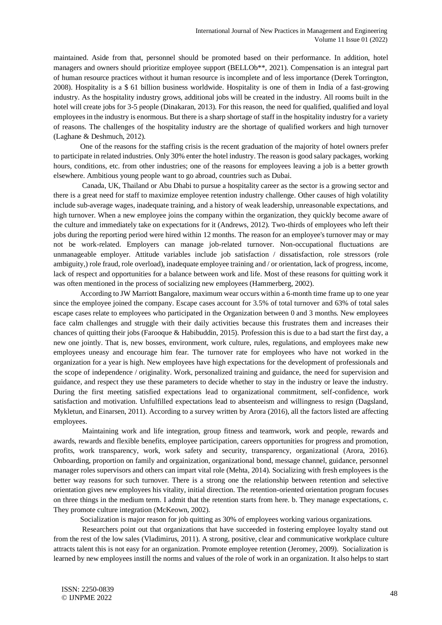maintained. Aside from that, personnel should be promoted based on their performance. In addition, hotel managers and owners should prioritize employee support (BELLOb<sup>\*\*</sup>, 2021). Compensation is an integral part of human resource practices without it human resource is incomplete and of less importance (Derek Torrington, 2008). Hospitality is a \$ 61 billion business worldwide. Hospitality is one of them in India of a fast-growing industry. As the hospitality industry grows, additional jobs will be created in the industry. All rooms built in the hotel will create jobs for 3-5 people (Dinakaran, 2013). For this reason, the need for qualified, qualified and loyal employees in the industry is enormous. But there is a sharp shortage of staff in the hospitality industry for a variety of reasons. The challenges of the hospitality industry are the shortage of qualified workers and high turnover (Laghane & Deshmuch, 2012).

One of the reasons for the staffing crisis is the recent graduation of the majority of hotel owners prefer to participate in related industries. Only 30% enter the hotel industry. The reason is good salary packages, working hours, conditions, etc. from other industries; one of the reasons for employees leaving a job is a better growth elsewhere. Ambitious young people want to go abroad, countries such as Dubai.

Canada, UK, Thailand or Abu Dhabi to pursue a hospitality career as the sector is a growing sector and there is a great need for staff to maximize employee retention industry challenge. Other causes of high volatility include sub-average wages, inadequate training, and a history of weak leadership, unreasonable expectations, and high turnover. When a new employee joins the company within the organization, they quickly become aware of the culture and immediately take on expectations for it (Andrews, 2012). Two-thirds of employees who left their jobs during the reporting period were hired within 12 months. The reason for an employee's turnover may or may not be work-related. Employers can manage job-related turnover. Non-occupational fluctuations are unmanageable employer. Attitude variables include job satisfaction / dissatisfaction, role stressors (role ambiguity,) role fraud, role overload), inadequate employee training and / or orientation, lack of progress, income, lack of respect and opportunities for a balance between work and life. Most of these reasons for quitting work it was often mentioned in the process of socializing new employees (Hammerberg, 2002).

According to JW Marriott Bangalore, maximum wear occurs within a 6-month time frame up to one year since the employee joined the company. Escape cases account for 3.5% of total turnover and 63% of total sales escape cases relate to employees who participated in the Organization between 0 and 3 months. New employees face calm challenges and struggle with their daily activities because this frustrates them and increases their chances of quitting their jobs (Farooque & Habibuddin, 2015). Profession this is due to a bad start the first day, a new one jointly. That is, new bosses, environment, work culture, rules, regulations, and employees make new employees uneasy and encourage him fear. The turnover rate for employees who have not worked in the organization for a year is high. New employees have high expectations for the development of professionals and the scope of independence / originality. Work, personalized training and guidance, the need for supervision and guidance, and respect they use these parameters to decide whether to stay in the industry or leave the industry. During the first meeting satisfied expectations lead to organizational commitment, self-confidence, work satisfaction and motivation. Unfulfilled expectations lead to absenteeism and willingness to resign (Dagsland, Mykletun, and Einarsen, 2011). According to a survey written by Arora (2016), all the factors listed are affecting employees.

Maintaining work and life integration, group fitness and teamwork, work and people, rewards and awards, rewards and flexible benefits, employee participation, careers opportunities for progress and promotion, profits, work transparency, work, work safety and security, transparency, organizational (Arora, 2016). Onboarding, proportion on family and orgainization, organizational bond, message channel, guidance, personnel manager roles supervisors and others can impart vital role (Mehta, 2014). Socializing with fresh employees is the better way reasons for such turnover. There is a strong one the relationship between retention and selective orientation gives new employees his vitality, initial direction. The retention-oriented orientation program focuses on three things in the medium term. I admit that the retention starts from here. b. They manage expectations, c. They promote culture integration (McKeown, 2002).

Socialization is major reason for job quitting as 30% of employees working various organizations.

Researchers point out that organizations that have succeeded in fostering employee loyalty stand out from the rest of the low sales (Vladimirus, 2011). A strong, positive, clear and communicative workplace culture attracts talent this is not easy for an organization. Promote employee retention (Jeromey, 2009). Socialization is learned by new employees instill the norms and values of the role of work in an organization. It also helps to start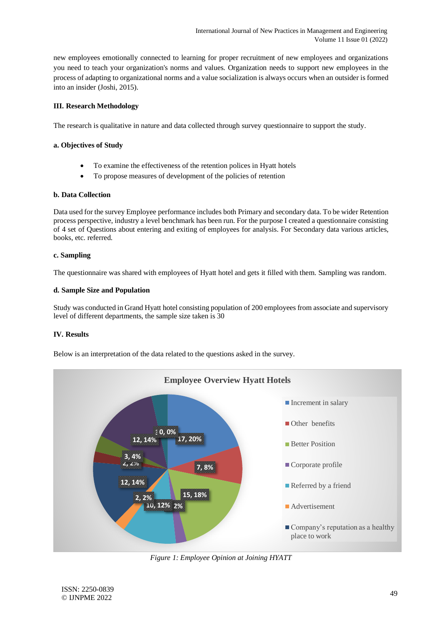new employees emotionally connected to learning for proper recruitment of new employees and organizations you need to teach your organization's norms and values. Organization needs to support new employees in the process of adapting to organizational norms and a value socialization is always occurs when an outsider is formed into an insider (Joshi, 2015).

## **III. Research Methodology**

The research is qualitative in nature and data collected through survey questionnaire to support the study.

## **a. Objectives of Study**

- To examine the effectiveness of the retention polices in Hyatt hotels
- To propose measures of development of the policies of retention

#### **b. Data Collection**

Data used for the survey Employee performance includes both Primary and secondary data. To be wider Retention process perspective, industry a level benchmark has been run. For the purpose I created a questionnaire consisting of 4 set of Questions about entering and exiting of employees for analysis. For Secondary data various articles, books, etc. referred.

## **c. Sampling**

The questionnaire was shared with employees of Hyatt hotel and gets it filled with them. Sampling was random.

## **d. Sample Size and Population**

Study was conducted in Grand Hyatt hotel consisting population of 200 employees from associate and supervisory level of different departments, the sample size taken is 30

# **IV. Results**

Below is an interpretation of the data related to the questions asked in the survey.



*Figure 1: Employee Opinion at Joining HYATT*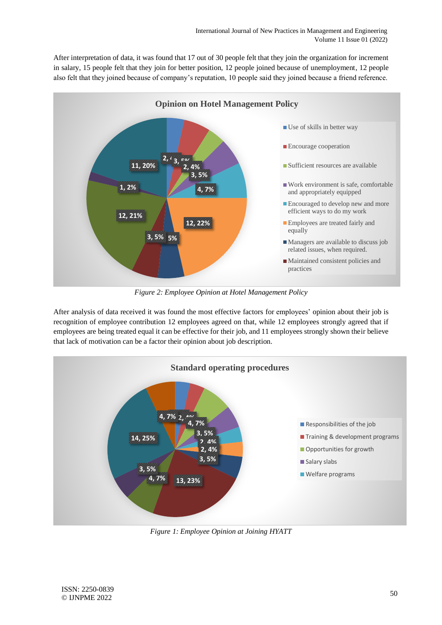After interpretation of data, it was found that 17 out of 30 people felt that they join the organization for increment in salary, 15 people felt that they join for better position, 12 people joined because of unemployment, 12 people also felt that they joined because of company's reputation, 10 people said they joined because a friend reference.



*Figure 2: Employee Opinion at Hotel Management Policy*

After analysis of data received it was found the most effective factors for employees' opinion about their job is recognition of employee contribution 12 employees agreed on that, while 12 employees strongly agreed that if employees are being treated equal it can be effective for their job, and 11 employees strongly shown their believe that lack of motivation can be a factor their opinion about job description.



*Figure 1: Employee Opinion at Joining HYATT*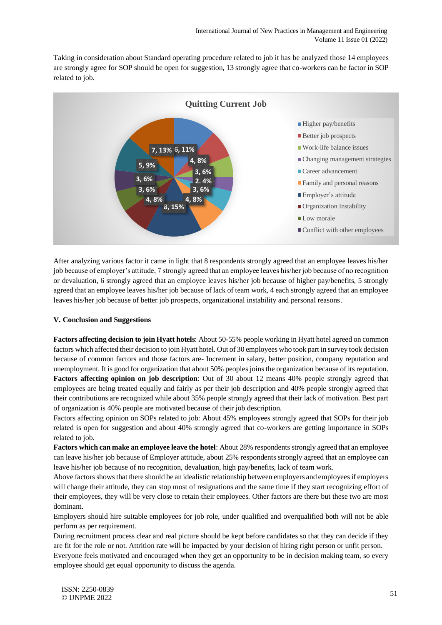Taking in consideration about Standard operating procedure related to job it has be analyzed those 14 employees are strongly agree for SOP should be open for suggestion, 13 strongly agree that co-workers can be factor in SOP related to job.



After analyzing various factor it came in light that 8 respondents strongly agreed that an employee leaves his/her job because of employer's attitude, 7 strongly agreed that an employee leaves his/her job because of no recognition or devaluation, 6 strongly agreed that an employee leaves his/her job because of higher pay/benefits, 5 strongly agreed that an employee leaves his/her job because of lack of team work, 4 each strongly agreed that an employee leaves his/her job because of better job prospects, organizational instability and personal reasons.

#### **V. Conclusion and Suggestions**

**Factors affecting decision to join Hyatt hotels**: About 50-55% people working in Hyatt hotel agreed on common factors which affected their decision to join Hyatt hotel. Out of 30 employees who took part in survey took decision because of common factors and those factors are- Increment in salary, better position, company reputation and unemployment. It is good for organization that about 50% peoples joins the organization because of its reputation. **Factors affecting opinion on job description**: Out of 30 about 12 means 40% people strongly agreed that employees are being treated equally and fairly as per their job description and 40% people strongly agreed that their contributions are recognized while about 35% people strongly agreed that their lack of motivation. Best part of organization is 40% people are motivated because of their job description.

Factors affecting opinion on SOPs related to job: About 45% employees strongly agreed that SOPs for their job related is open for suggestion and about 40% strongly agreed that co-workers are getting importance in SOPs related to job.

**Factors which can make an employee leave the hotel**: About 28% respondents strongly agreed that an employee can leave his/her job because of Employer attitude, about 25% respondents strongly agreed that an employee can leave his/her job because of no recognition, devaluation, high pay/benefits, lack of team work.

Above factors shows that there should be an idealistic relationship between employers and employees if employers will change their attitude, they can stop most of resignations and the same time if they start recognizing effort of their employees, they will be very close to retain their employees. Other factors are there but these two are most dominant.

Employers should hire suitable employees for job role, under qualified and overqualified both will not be able perform as per requirement.

During recruitment process clear and real picture should be kept before candidates so that they can decide if they are fit for the role or not. Attrition rate will be impacted by your decision of hiring right person or unfit person. Everyone feels motivated and encouraged when they get an opportunity to be in decision making team, so every employee should get equal opportunity to discuss the agenda.